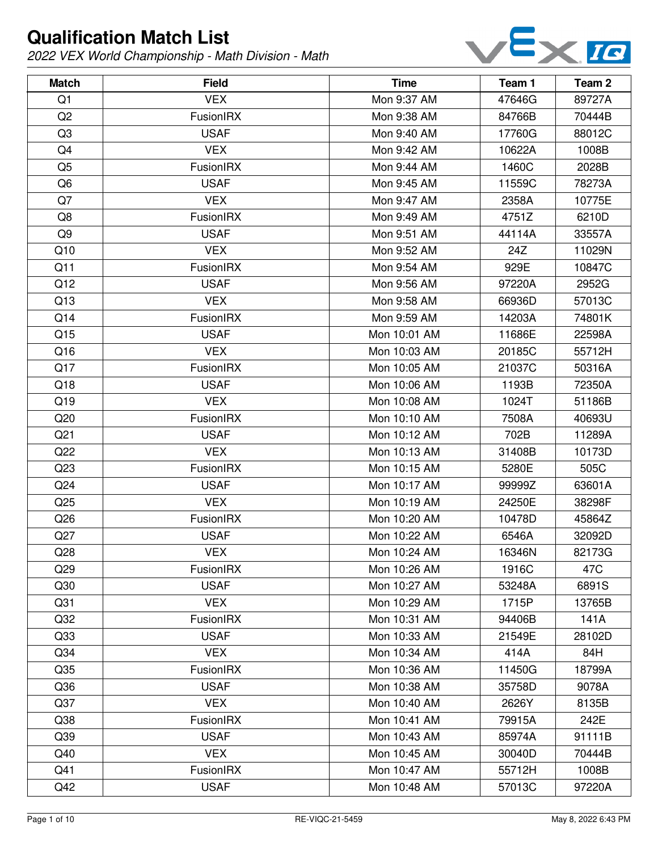

| <b>Match</b>    | <b>Field</b>     | <b>Time</b>  | Team 1 | Team 2 |
|-----------------|------------------|--------------|--------|--------|
| Q1              | <b>VEX</b>       | Mon 9:37 AM  | 47646G | 89727A |
| Q2              | FusionIRX        | Mon 9:38 AM  | 84766B | 70444B |
| Q <sub>3</sub>  | <b>USAF</b>      | Mon 9:40 AM  | 17760G | 88012C |
| Q4              | <b>VEX</b>       | Mon 9:42 AM  | 10622A | 1008B  |
| Q <sub>5</sub>  | FusionIRX        | Mon 9:44 AM  | 1460C  | 2028B  |
| Q <sub>6</sub>  | <b>USAF</b>      | Mon 9:45 AM  | 11559C | 78273A |
| Q7              | <b>VEX</b>       | Mon 9:47 AM  | 2358A  | 10775E |
| Q8              | FusionIRX        | Mon 9:49 AM  | 4751Z  | 6210D  |
| Q9              | <b>USAF</b>      | Mon 9:51 AM  | 44114A | 33557A |
| Q10             | <b>VEX</b>       | Mon 9:52 AM  | 24Z    | 11029N |
| Q11             | FusionIRX        | Mon 9:54 AM  | 929E   | 10847C |
| Q12             | <b>USAF</b>      | Mon 9:56 AM  | 97220A | 2952G  |
| Q13             | <b>VEX</b>       | Mon 9:58 AM  | 66936D | 57013C |
| Q14             | <b>FusionIRX</b> | Mon 9:59 AM  | 14203A | 74801K |
| Q15             | <b>USAF</b>      | Mon 10:01 AM | 11686E | 22598A |
| Q16             | <b>VEX</b>       | Mon 10:03 AM | 20185C | 55712H |
| Q17             | FusionIRX        | Mon 10:05 AM | 21037C | 50316A |
| Q18             | <b>USAF</b>      | Mon 10:06 AM | 1193B  | 72350A |
| Q19             | <b>VEX</b>       | Mon 10:08 AM | 1024T  | 51186B |
| Q20             | FusionIRX        | Mon 10:10 AM | 7508A  | 40693U |
| Q <sub>21</sub> | <b>USAF</b>      | Mon 10:12 AM | 702B   | 11289A |
| Q22             | <b>VEX</b>       | Mon 10:13 AM | 31408B | 10173D |
| Q <sub>23</sub> | FusionIRX        | Mon 10:15 AM | 5280E  | 505C   |
| Q24             | <b>USAF</b>      | Mon 10:17 AM | 99999Z | 63601A |
| Q25             | <b>VEX</b>       | Mon 10:19 AM | 24250E | 38298F |
| Q26             | FusionIRX        | Mon 10:20 AM | 10478D | 45864Z |
| Q27             | <b>USAF</b>      | Mon 10:22 AM | 6546A  | 32092D |
| Q28             | <b>VEX</b>       | Mon 10:24 AM | 16346N | 82173G |
| Q29             | FusionIRX        | Mon 10:26 AM | 1916C  | 47C    |
| Q30             | <b>USAF</b>      | Mon 10:27 AM | 53248A | 6891S  |
| Q <sub>31</sub> | <b>VEX</b>       | Mon 10:29 AM | 1715P  | 13765B |
| Q <sub>32</sub> | FusionIRX        | Mon 10:31 AM | 94406B | 141A   |
| Q <sub>33</sub> | <b>USAF</b>      | Mon 10:33 AM | 21549E | 28102D |
| Q <sub>34</sub> | <b>VEX</b>       | Mon 10:34 AM | 414A   | 84H    |
| Q <sub>35</sub> | FusionIRX        | Mon 10:36 AM | 11450G | 18799A |
| Q36             | <b>USAF</b>      | Mon 10:38 AM | 35758D | 9078A  |
| Q37             | <b>VEX</b>       | Mon 10:40 AM | 2626Y  | 8135B  |
| Q <sub>38</sub> | FusionIRX        | Mon 10:41 AM | 79915A | 242E   |
| Q <sub>39</sub> | <b>USAF</b>      | Mon 10:43 AM | 85974A | 91111B |
| Q40             | <b>VEX</b>       | Mon 10:45 AM | 30040D | 70444B |
| Q41             | FusionIRX        | Mon 10:47 AM | 55712H | 1008B  |
| Q42             | <b>USAF</b>      | Mon 10:48 AM | 57013C | 97220A |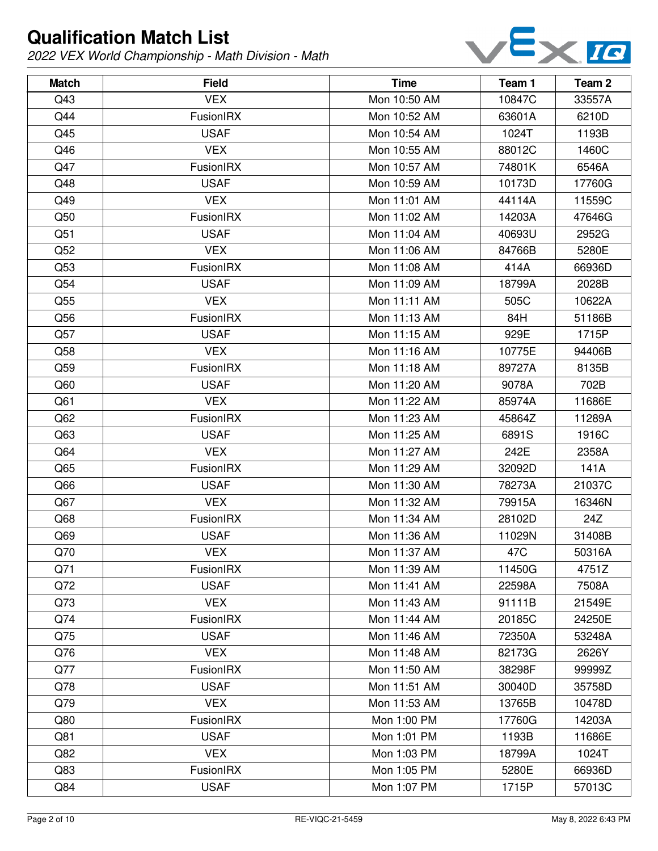

| <b>Match</b>    | <b>Field</b> | <b>Time</b>  | Team 1 | Team 2 |
|-----------------|--------------|--------------|--------|--------|
| Q43             | <b>VEX</b>   | Mon 10:50 AM | 10847C | 33557A |
| Q44             | FusionIRX    | Mon 10:52 AM | 63601A | 6210D  |
| Q45             | <b>USAF</b>  | Mon 10:54 AM | 1024T  | 1193B  |
| Q46             | <b>VEX</b>   | Mon 10:55 AM | 88012C | 1460C  |
| Q47             | FusionIRX    | Mon 10:57 AM | 74801K | 6546A  |
| Q48             | <b>USAF</b>  | Mon 10:59 AM | 10173D | 17760G |
| Q49             | <b>VEX</b>   | Mon 11:01 AM | 44114A | 11559C |
| Q50             | FusionIRX    | Mon 11:02 AM | 14203A | 47646G |
| Q51             | <b>USAF</b>  | Mon 11:04 AM | 40693U | 2952G  |
| Q52             | <b>VEX</b>   | Mon 11:06 AM | 84766B | 5280E  |
| Q53             | FusionIRX    | Mon 11:08 AM | 414A   | 66936D |
| Q54             | <b>USAF</b>  | Mon 11:09 AM | 18799A | 2028B  |
| Q <sub>55</sub> | <b>VEX</b>   | Mon 11:11 AM | 505C   | 10622A |
| Q56             | FusionIRX    | Mon 11:13 AM | 84H    | 51186B |
| Q57             | <b>USAF</b>  | Mon 11:15 AM | 929E   | 1715P  |
| Q58             | <b>VEX</b>   | Mon 11:16 AM | 10775E | 94406B |
| Q59             | FusionIRX    | Mon 11:18 AM | 89727A | 8135B  |
| Q60             | <b>USAF</b>  | Mon 11:20 AM | 9078A  | 702B   |
| Q <sub>61</sub> | <b>VEX</b>   | Mon 11:22 AM | 85974A | 11686E |
| Q62             | FusionIRX    | Mon 11:23 AM | 45864Z | 11289A |
| Q63             | <b>USAF</b>  | Mon 11:25 AM | 6891S  | 1916C  |
| Q64             | <b>VEX</b>   | Mon 11:27 AM | 242E   | 2358A  |
| Q65             | FusionIRX    | Mon 11:29 AM | 32092D | 141A   |
| Q66             | <b>USAF</b>  | Mon 11:30 AM | 78273A | 21037C |
| Q67             | <b>VEX</b>   | Mon 11:32 AM | 79915A | 16346N |
| Q68             | FusionIRX    | Mon 11:34 AM | 28102D | 24Z    |
| Q69             | <b>USAF</b>  | Mon 11:36 AM | 11029N | 31408B |
| Q70             | <b>VEX</b>   | Mon 11:37 AM | 47C    | 50316A |
| Q71             | FusionIRX    | Mon 11:39 AM | 11450G | 4751Z  |
| Q72             | <b>USAF</b>  | Mon 11:41 AM | 22598A | 7508A  |
| Q73             | <b>VEX</b>   | Mon 11:43 AM | 91111B | 21549E |
| Q74             | FusionIRX    | Mon 11:44 AM | 20185C | 24250E |
| Q75             | <b>USAF</b>  | Mon 11:46 AM | 72350A | 53248A |
| Q76             | <b>VEX</b>   | Mon 11:48 AM | 82173G | 2626Y  |
| Q77             | FusionIRX    | Mon 11:50 AM | 38298F | 99999Z |
| Q78             | <b>USAF</b>  | Mon 11:51 AM | 30040D | 35758D |
| Q79             | <b>VEX</b>   | Mon 11:53 AM | 13765B | 10478D |
| Q80             | FusionIRX    | Mon 1:00 PM  | 17760G | 14203A |
| Q81             | <b>USAF</b>  | Mon 1:01 PM  | 1193B  | 11686E |
| Q82             | <b>VEX</b>   | Mon 1:03 PM  | 18799A | 1024T  |
| Q83             | FusionIRX    | Mon 1:05 PM  | 5280E  | 66936D |
| Q84             | <b>USAF</b>  | Mon 1:07 PM  | 1715P  | 57013C |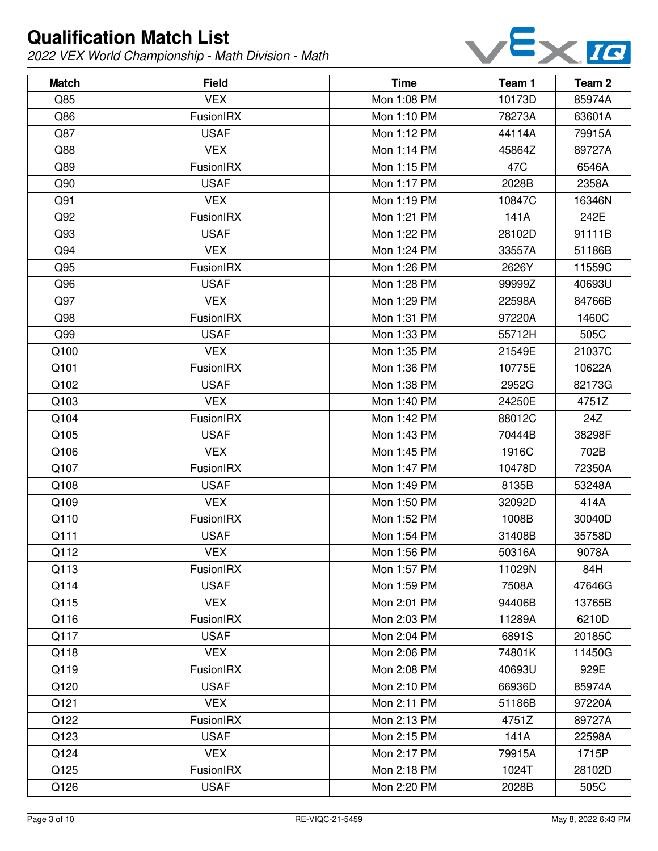

| <b>Match</b> | <b>Field</b>     | <b>Time</b> | Team 1 | Team 2 |
|--------------|------------------|-------------|--------|--------|
| Q85          | <b>VEX</b>       | Mon 1:08 PM | 10173D | 85974A |
| Q86          | FusionIRX        | Mon 1:10 PM | 78273A | 63601A |
| Q87          | <b>USAF</b>      | Mon 1:12 PM | 44114A | 79915A |
| Q88          | <b>VEX</b>       | Mon 1:14 PM | 45864Z | 89727A |
| Q89          | FusionIRX        | Mon 1:15 PM | 47C    | 6546A  |
| Q90          | <b>USAF</b>      | Mon 1:17 PM | 2028B  | 2358A  |
| Q91          | <b>VEX</b>       | Mon 1:19 PM | 10847C | 16346N |
| Q92          | FusionIRX        | Mon 1:21 PM | 141A   | 242E   |
| Q93          | <b>USAF</b>      | Mon 1:22 PM | 28102D | 91111B |
| Q94          | <b>VEX</b>       | Mon 1:24 PM | 33557A | 51186B |
| Q95          | FusionIRX        | Mon 1:26 PM | 2626Y  | 11559C |
| Q96          | <b>USAF</b>      | Mon 1:28 PM | 99999Z | 40693U |
| Q97          | <b>VEX</b>       | Mon 1:29 PM | 22598A | 84766B |
| Q98          | FusionIRX        | Mon 1:31 PM | 97220A | 1460C  |
| Q99          | <b>USAF</b>      | Mon 1:33 PM | 55712H | 505C   |
| Q100         | <b>VEX</b>       | Mon 1:35 PM | 21549E | 21037C |
| Q101         | FusionIRX        | Mon 1:36 PM | 10775E | 10622A |
| Q102         | <b>USAF</b>      | Mon 1:38 PM | 2952G  | 82173G |
| Q103         | <b>VEX</b>       | Mon 1:40 PM | 24250E | 4751Z  |
| Q104         | FusionIRX        | Mon 1:42 PM | 88012C | 24Z    |
| Q105         | <b>USAF</b>      | Mon 1:43 PM | 70444B | 38298F |
| Q106         | <b>VEX</b>       | Mon 1:45 PM | 1916C  | 702B   |
| Q107         | FusionIRX        | Mon 1:47 PM | 10478D | 72350A |
| Q108         | <b>USAF</b>      | Mon 1:49 PM | 8135B  | 53248A |
| Q109         | <b>VEX</b>       | Mon 1:50 PM | 32092D | 414A   |
| Q110         | FusionIRX        | Mon 1:52 PM | 1008B  | 30040D |
| Q111         | <b>USAF</b>      | Mon 1:54 PM | 31408B | 35758D |
| Q112         | <b>VEX</b>       | Mon 1:56 PM | 50316A | 9078A  |
| Q113         | <b>FusionIRX</b> | Mon 1:57 PM | 11029N | 84H    |
| Q114         | <b>USAF</b>      | Mon 1:59 PM | 7508A  | 47646G |
| Q115         | <b>VEX</b>       | Mon 2:01 PM | 94406B | 13765B |
| Q116         | FusionIRX        | Mon 2:03 PM | 11289A | 6210D  |
| Q117         | <b>USAF</b>      | Mon 2:04 PM | 6891S  | 20185C |
| Q118         | <b>VEX</b>       | Mon 2:06 PM | 74801K | 11450G |
| Q119         | FusionIRX        | Mon 2:08 PM | 40693U | 929E   |
| Q120         | <b>USAF</b>      | Mon 2:10 PM | 66936D | 85974A |
| Q121         | <b>VEX</b>       | Mon 2:11 PM | 51186B | 97220A |
| Q122         | FusionIRX        | Mon 2:13 PM | 4751Z  | 89727A |
| Q123         | <b>USAF</b>      | Mon 2:15 PM | 141A   | 22598A |
| Q124         | <b>VEX</b>       | Mon 2:17 PM | 79915A | 1715P  |
| Q125         | FusionIRX        | Mon 2:18 PM | 1024T  | 28102D |
| Q126         | <b>USAF</b>      | Mon 2:20 PM | 2028B  | 505C   |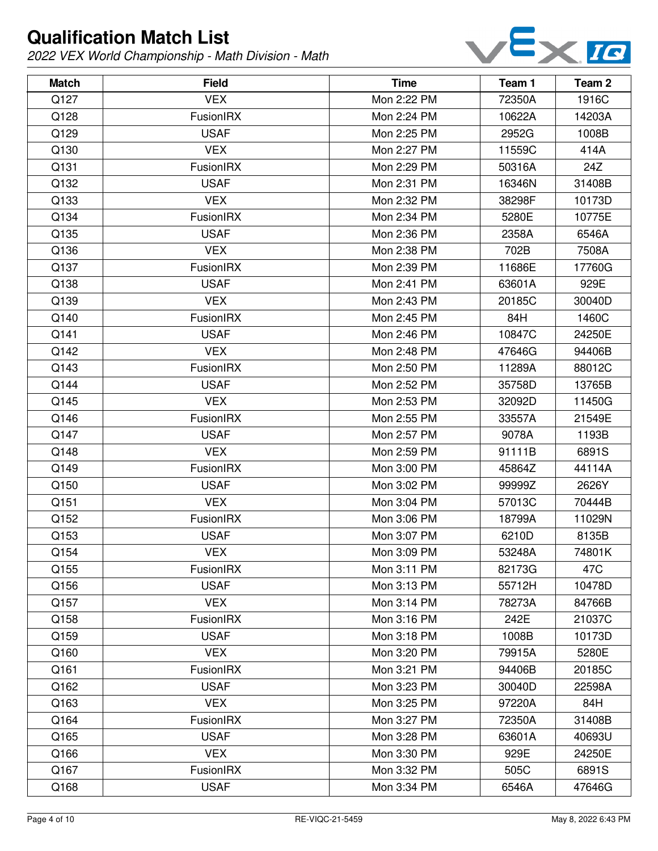

| <b>Match</b> | <b>Field</b>     | <b>Time</b> | Team 1 | Team 2 |
|--------------|------------------|-------------|--------|--------|
| Q127         | <b>VEX</b>       | Mon 2:22 PM | 72350A | 1916C  |
| Q128         | FusionIRX        | Mon 2:24 PM | 10622A | 14203A |
| Q129         | <b>USAF</b>      | Mon 2:25 PM | 2952G  | 1008B  |
| Q130         | <b>VEX</b>       | Mon 2:27 PM | 11559C | 414A   |
| Q131         | FusionIRX        | Mon 2:29 PM | 50316A | 24Z    |
| Q132         | <b>USAF</b>      | Mon 2:31 PM | 16346N | 31408B |
| Q133         | <b>VEX</b>       | Mon 2:32 PM | 38298F | 10173D |
| Q134         | FusionIRX        | Mon 2:34 PM | 5280E  | 10775E |
| Q135         | <b>USAF</b>      | Mon 2:36 PM | 2358A  | 6546A  |
| Q136         | <b>VEX</b>       | Mon 2:38 PM | 702B   | 7508A  |
| Q137         | FusionIRX        | Mon 2:39 PM | 11686E | 17760G |
| Q138         | <b>USAF</b>      | Mon 2:41 PM | 63601A | 929E   |
| Q139         | <b>VEX</b>       | Mon 2:43 PM | 20185C | 30040D |
| Q140         | FusionIRX        | Mon 2:45 PM | 84H    | 1460C  |
| Q141         | <b>USAF</b>      | Mon 2:46 PM | 10847C | 24250E |
| Q142         | <b>VEX</b>       | Mon 2:48 PM | 47646G | 94406B |
| Q143         | FusionIRX        | Mon 2:50 PM | 11289A | 88012C |
| Q144         | <b>USAF</b>      | Mon 2:52 PM | 35758D | 13765B |
| Q145         | <b>VEX</b>       | Mon 2:53 PM | 32092D | 11450G |
| Q146         | FusionIRX        | Mon 2:55 PM | 33557A | 21549E |
| Q147         | <b>USAF</b>      | Mon 2:57 PM | 9078A  | 1193B  |
| Q148         | <b>VEX</b>       | Mon 2:59 PM | 91111B | 6891S  |
| Q149         | FusionIRX        | Mon 3:00 PM | 45864Z | 44114A |
| Q150         | <b>USAF</b>      | Mon 3:02 PM | 99999Z | 2626Y  |
| Q151         | <b>VEX</b>       | Mon 3:04 PM | 57013C | 70444B |
| Q152         | FusionIRX        | Mon 3:06 PM | 18799A | 11029N |
| Q153         | <b>USAF</b>      | Mon 3:07 PM | 6210D  | 8135B  |
| Q154         | <b>VEX</b>       | Mon 3:09 PM | 53248A | 74801K |
| Q155         | FusionIRX        | Mon 3:11 PM | 82173G | 47C    |
| Q156         | <b>USAF</b>      | Mon 3:13 PM | 55712H | 10478D |
| Q157         | <b>VEX</b>       | Mon 3:14 PM | 78273A | 84766B |
| Q158         | FusionIRX        | Mon 3:16 PM | 242E   | 21037C |
| Q159         | <b>USAF</b>      | Mon 3:18 PM | 1008B  | 10173D |
| Q160         | <b>VEX</b>       | Mon 3:20 PM | 79915A | 5280E  |
| Q161         | FusionIRX        | Mon 3:21 PM | 94406B | 20185C |
| Q162         | <b>USAF</b>      | Mon 3:23 PM | 30040D | 22598A |
| Q163         | <b>VEX</b>       | Mon 3:25 PM | 97220A | 84H    |
| Q164         | FusionIRX        | Mon 3:27 PM | 72350A | 31408B |
| Q165         | <b>USAF</b>      | Mon 3:28 PM | 63601A | 40693U |
| Q166         | <b>VEX</b>       | Mon 3:30 PM | 929E   | 24250E |
| Q167         | <b>FusionIRX</b> | Mon 3:32 PM | 505C   | 6891S  |
| Q168         | <b>USAF</b>      | Mon 3:34 PM | 6546A  | 47646G |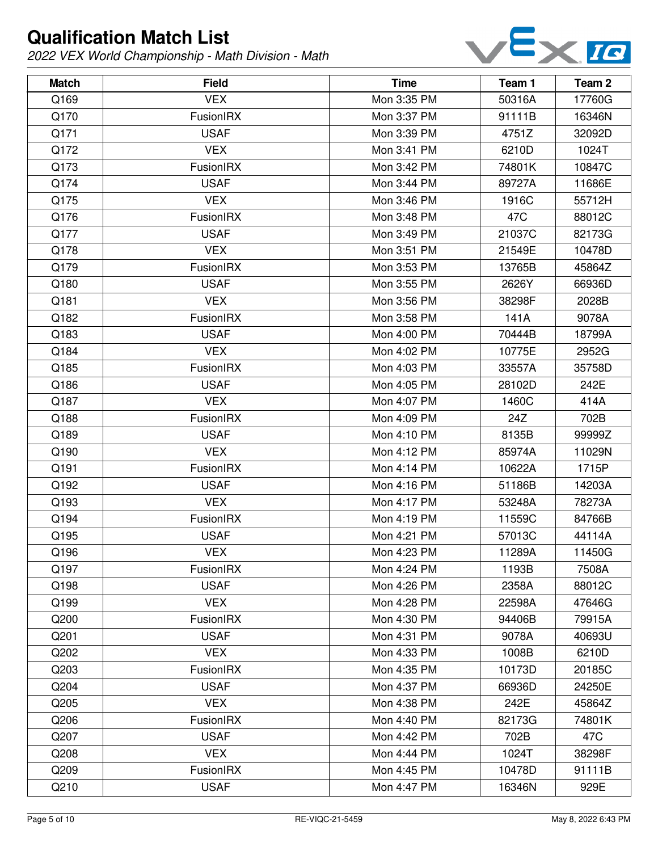

| <b>Match</b> | <b>Field</b>     | <b>Time</b> | Team 1 | Team 2 |
|--------------|------------------|-------------|--------|--------|
| Q169         | <b>VEX</b>       | Mon 3:35 PM | 50316A | 17760G |
| Q170         | FusionIRX        | Mon 3:37 PM | 91111B | 16346N |
| Q171         | <b>USAF</b>      | Mon 3:39 PM | 4751Z  | 32092D |
| Q172         | <b>VEX</b>       | Mon 3:41 PM | 6210D  | 1024T  |
| Q173         | FusionIRX        | Mon 3:42 PM | 74801K | 10847C |
| Q174         | <b>USAF</b>      | Mon 3:44 PM | 89727A | 11686E |
| Q175         | <b>VEX</b>       | Mon 3:46 PM | 1916C  | 55712H |
| Q176         | FusionIRX        | Mon 3:48 PM | 47C    | 88012C |
| Q177         | <b>USAF</b>      | Mon 3:49 PM | 21037C | 82173G |
| Q178         | <b>VEX</b>       | Mon 3:51 PM | 21549E | 10478D |
| Q179         | FusionIRX        | Mon 3:53 PM | 13765B | 45864Z |
| Q180         | <b>USAF</b>      | Mon 3:55 PM | 2626Y  | 66936D |
| Q181         | <b>VEX</b>       | Mon 3:56 PM | 38298F | 2028B  |
| Q182         | FusionIRX        | Mon 3:58 PM | 141A   | 9078A  |
| Q183         | <b>USAF</b>      | Mon 4:00 PM | 70444B | 18799A |
| Q184         | <b>VEX</b>       | Mon 4:02 PM | 10775E | 2952G  |
| Q185         | FusionIRX        | Mon 4:03 PM | 33557A | 35758D |
| Q186         | <b>USAF</b>      | Mon 4:05 PM | 28102D | 242E   |
| Q187         | <b>VEX</b>       | Mon 4:07 PM | 1460C  | 414A   |
| Q188         | FusionIRX        | Mon 4:09 PM | 24Z    | 702B   |
| Q189         | <b>USAF</b>      | Mon 4:10 PM | 8135B  | 99999Z |
| Q190         | <b>VEX</b>       | Mon 4:12 PM | 85974A | 11029N |
| Q191         | FusionIRX        | Mon 4:14 PM | 10622A | 1715P  |
| Q192         | <b>USAF</b>      | Mon 4:16 PM | 51186B | 14203A |
| Q193         | <b>VEX</b>       | Mon 4:17 PM | 53248A | 78273A |
| Q194         | FusionIRX        | Mon 4:19 PM | 11559C | 84766B |
| Q195         | <b>USAF</b>      | Mon 4:21 PM | 57013C | 44114A |
| Q196         | <b>VEX</b>       | Mon 4:23 PM | 11289A | 11450G |
| Q197         | <b>FusionIRX</b> | Mon 4:24 PM | 1193B  | 7508A  |
| Q198         | <b>USAF</b>      | Mon 4:26 PM | 2358A  | 88012C |
| Q199         | <b>VEX</b>       | Mon 4:28 PM | 22598A | 47646G |
| Q200         | FusionIRX        | Mon 4:30 PM | 94406B | 79915A |
| Q201         | <b>USAF</b>      | Mon 4:31 PM | 9078A  | 40693U |
| Q202         | <b>VEX</b>       | Mon 4:33 PM | 1008B  | 6210D  |
| Q203         | FusionIRX        | Mon 4:35 PM | 10173D | 20185C |
| Q204         | <b>USAF</b>      | Mon 4:37 PM | 66936D | 24250E |
| Q205         | <b>VEX</b>       | Mon 4:38 PM | 242E   | 45864Z |
| Q206         | FusionIRX        | Mon 4:40 PM | 82173G | 74801K |
| Q207         | <b>USAF</b>      | Mon 4:42 PM | 702B   | 47C    |
| Q208         | <b>VEX</b>       | Mon 4:44 PM | 1024T  | 38298F |
| Q209         | FusionIRX        | Mon 4:45 PM | 10478D | 91111B |
| Q210         | <b>USAF</b>      | Mon 4:47 PM | 16346N | 929E   |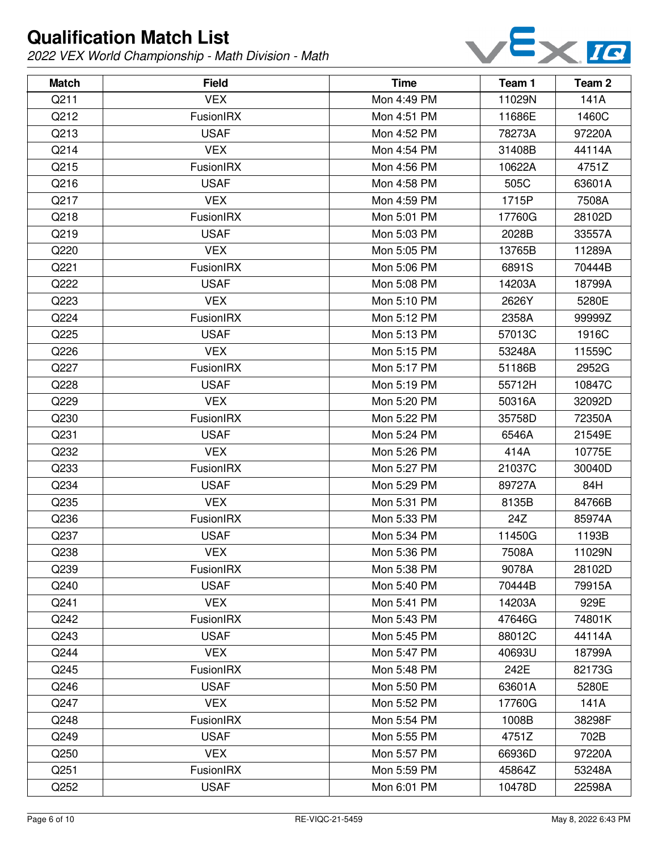

| <b>Match</b> | <b>Field</b>     | <b>Time</b> | Team 1 | Team 2 |
|--------------|------------------|-------------|--------|--------|
| Q211         | <b>VEX</b>       | Mon 4:49 PM | 11029N | 141A   |
| Q212         | FusionIRX        | Mon 4:51 PM | 11686E | 1460C  |
| Q213         | <b>USAF</b>      | Mon 4:52 PM | 78273A | 97220A |
| Q214         | <b>VEX</b>       | Mon 4:54 PM | 31408B | 44114A |
| Q215         | FusionIRX        | Mon 4:56 PM | 10622A | 4751Z  |
| Q216         | <b>USAF</b>      | Mon 4:58 PM | 505C   | 63601A |
| Q217         | <b>VEX</b>       | Mon 4:59 PM | 1715P  | 7508A  |
| Q218         | FusionIRX        | Mon 5:01 PM | 17760G | 28102D |
| Q219         | <b>USAF</b>      | Mon 5:03 PM | 2028B  | 33557A |
| Q220         | <b>VEX</b>       | Mon 5:05 PM | 13765B | 11289A |
| Q221         | FusionIRX        | Mon 5:06 PM | 6891S  | 70444B |
| Q222         | <b>USAF</b>      | Mon 5:08 PM | 14203A | 18799A |
| Q223         | <b>VEX</b>       | Mon 5:10 PM | 2626Y  | 5280E  |
| Q224         | FusionIRX        | Mon 5:12 PM | 2358A  | 99999Z |
| Q225         | <b>USAF</b>      | Mon 5:13 PM | 57013C | 1916C  |
| Q226         | <b>VEX</b>       | Mon 5:15 PM | 53248A | 11559C |
| Q227         | FusionIRX        | Mon 5:17 PM | 51186B | 2952G  |
| Q228         | <b>USAF</b>      | Mon 5:19 PM | 55712H | 10847C |
| Q229         | <b>VEX</b>       | Mon 5:20 PM | 50316A | 32092D |
| Q230         | FusionIRX        | Mon 5:22 PM | 35758D | 72350A |
| Q231         | <b>USAF</b>      | Mon 5:24 PM | 6546A  | 21549E |
| Q232         | <b>VEX</b>       | Mon 5:26 PM | 414A   | 10775E |
| Q233         | FusionIRX        | Mon 5:27 PM | 21037C | 30040D |
| Q234         | <b>USAF</b>      | Mon 5:29 PM | 89727A | 84H    |
| Q235         | <b>VEX</b>       | Mon 5:31 PM | 8135B  | 84766B |
| Q236         | FusionIRX        | Mon 5:33 PM | 24Z    | 85974A |
| Q237         | <b>USAF</b>      | Mon 5:34 PM | 11450G | 1193B  |
| Q238         | <b>VEX</b>       | Mon 5:36 PM | 7508A  | 11029N |
| Q239         | <b>FusionIRX</b> | Mon 5:38 PM | 9078A  | 28102D |
| Q240         | <b>USAF</b>      | Mon 5:40 PM | 70444B | 79915A |
| Q241         | <b>VEX</b>       | Mon 5:41 PM | 14203A | 929E   |
| Q242         | FusionIRX        | Mon 5:43 PM | 47646G | 74801K |
| Q243         | <b>USAF</b>      | Mon 5:45 PM | 88012C | 44114A |
| Q244         | <b>VEX</b>       | Mon 5:47 PM | 40693U | 18799A |
| Q245         | FusionIRX        | Mon 5:48 PM | 242E   | 82173G |
| Q246         | <b>USAF</b>      | Mon 5:50 PM | 63601A | 5280E  |
| Q247         | <b>VEX</b>       | Mon 5:52 PM | 17760G | 141A   |
| Q248         | FusionIRX        | Mon 5:54 PM | 1008B  | 38298F |
| Q249         | <b>USAF</b>      | Mon 5:55 PM | 4751Z  | 702B   |
| Q250         | <b>VEX</b>       | Mon 5:57 PM | 66936D | 97220A |
| Q251         | <b>FusionIRX</b> | Mon 5:59 PM | 45864Z | 53248A |
| Q252         | <b>USAF</b>      | Mon 6:01 PM | 10478D | 22598A |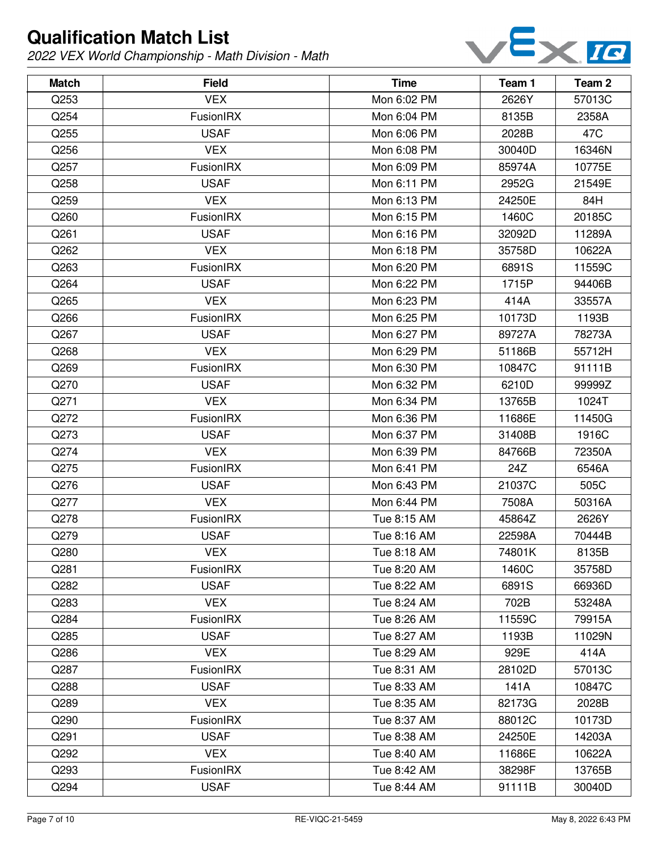

| <b>Match</b> | <b>Field</b>     | <b>Time</b> | Team 1 | Team 2 |
|--------------|------------------|-------------|--------|--------|
| Q253         | <b>VEX</b>       | Mon 6:02 PM | 2626Y  | 57013C |
| Q254         | FusionIRX        | Mon 6:04 PM | 8135B  | 2358A  |
| Q255         | <b>USAF</b>      | Mon 6:06 PM | 2028B  | 47C    |
| Q256         | <b>VEX</b>       | Mon 6:08 PM | 30040D | 16346N |
| Q257         | FusionIRX        | Mon 6:09 PM | 85974A | 10775E |
| Q258         | <b>USAF</b>      | Mon 6:11 PM | 2952G  | 21549E |
| Q259         | <b>VEX</b>       | Mon 6:13 PM | 24250E | 84H    |
| Q260         | FusionIRX        | Mon 6:15 PM | 1460C  | 20185C |
| Q261         | <b>USAF</b>      | Mon 6:16 PM | 32092D | 11289A |
| Q262         | <b>VEX</b>       | Mon 6:18 PM | 35758D | 10622A |
| Q263         | FusionIRX        | Mon 6:20 PM | 6891S  | 11559C |
| Q264         | <b>USAF</b>      | Mon 6:22 PM | 1715P  | 94406B |
| Q265         | <b>VEX</b>       | Mon 6:23 PM | 414A   | 33557A |
| Q266         | FusionIRX        | Mon 6:25 PM | 10173D | 1193B  |
| Q267         | <b>USAF</b>      | Mon 6:27 PM | 89727A | 78273A |
| Q268         | <b>VEX</b>       | Mon 6:29 PM | 51186B | 55712H |
| Q269         | FusionIRX        | Mon 6:30 PM | 10847C | 91111B |
| Q270         | <b>USAF</b>      | Mon 6:32 PM | 6210D  | 99999Z |
| Q271         | <b>VEX</b>       | Mon 6:34 PM | 13765B | 1024T  |
| Q272         | FusionIRX        | Mon 6:36 PM | 11686E | 11450G |
| Q273         | <b>USAF</b>      | Mon 6:37 PM | 31408B | 1916C  |
| Q274         | <b>VEX</b>       | Mon 6:39 PM | 84766B | 72350A |
| Q275         | FusionIRX        | Mon 6:41 PM | 24Z    | 6546A  |
| Q276         | <b>USAF</b>      | Mon 6:43 PM | 21037C | 505C   |
| Q277         | <b>VEX</b>       | Mon 6:44 PM | 7508A  | 50316A |
| Q278         | FusionIRX        | Tue 8:15 AM | 45864Z | 2626Y  |
| Q279         | <b>USAF</b>      | Tue 8:16 AM | 22598A | 70444B |
| Q280         | <b>VEX</b>       | Tue 8:18 AM | 74801K | 8135B  |
| Q281         | <b>FusionIRX</b> | Tue 8:20 AM | 1460C  | 35758D |
| Q282         | <b>USAF</b>      | Tue 8:22 AM | 6891S  | 66936D |
| Q283         | <b>VEX</b>       | Tue 8:24 AM | 702B   | 53248A |
| Q284         | FusionIRX        | Tue 8:26 AM | 11559C | 79915A |
| Q285         | <b>USAF</b>      | Tue 8:27 AM | 1193B  | 11029N |
| Q286         | <b>VEX</b>       | Tue 8:29 AM | 929E   | 414A   |
| Q287         | FusionIRX        | Tue 8:31 AM | 28102D | 57013C |
| Q288         | <b>USAF</b>      | Tue 8:33 AM | 141A   | 10847C |
| Q289         | <b>VEX</b>       | Tue 8:35 AM | 82173G | 2028B  |
| Q290         | FusionIRX        | Tue 8:37 AM | 88012C | 10173D |
| Q291         | <b>USAF</b>      | Tue 8:38 AM | 24250E | 14203A |
| Q292         | <b>VEX</b>       | Tue 8:40 AM | 11686E | 10622A |
| Q293         | <b>FusionIRX</b> | Tue 8:42 AM | 38298F | 13765B |
| Q294         | <b>USAF</b>      | Tue 8:44 AM | 91111B | 30040D |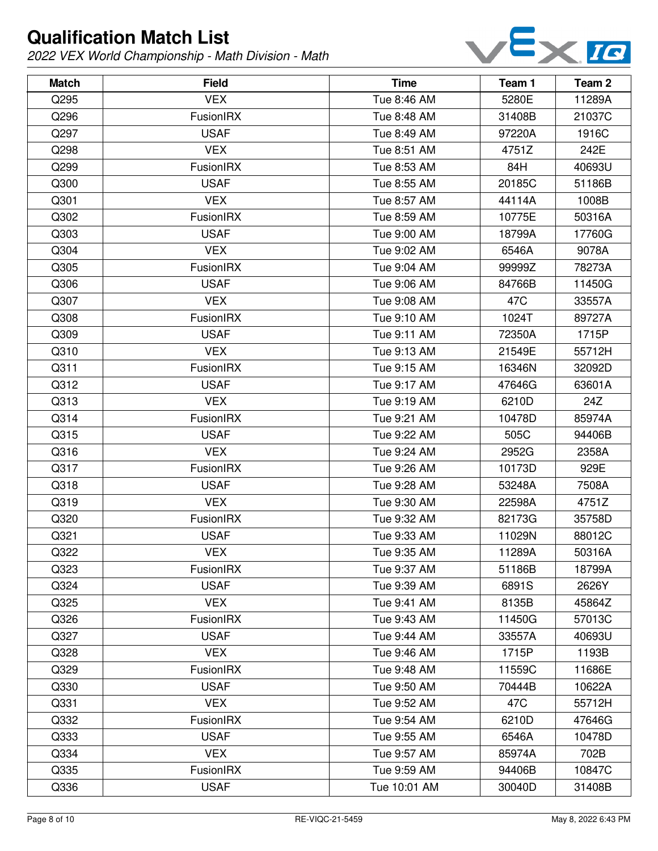

| <b>Match</b> | <b>Field</b>     | <b>Time</b>  | Team 1 | Team 2 |
|--------------|------------------|--------------|--------|--------|
| Q295         | <b>VEX</b>       | Tue 8:46 AM  | 5280E  | 11289A |
| Q296         | FusionIRX        | Tue 8:48 AM  | 31408B | 21037C |
| Q297         | <b>USAF</b>      | Tue 8:49 AM  | 97220A | 1916C  |
| Q298         | <b>VEX</b>       | Tue 8:51 AM  | 4751Z  | 242E   |
| Q299         | FusionIRX        | Tue 8:53 AM  | 84H    | 40693U |
| Q300         | <b>USAF</b>      | Tue 8:55 AM  | 20185C | 51186B |
| Q301         | <b>VEX</b>       | Tue 8:57 AM  | 44114A | 1008B  |
| Q302         | FusionIRX        | Tue 8:59 AM  | 10775E | 50316A |
| Q303         | <b>USAF</b>      | Tue 9:00 AM  | 18799A | 17760G |
| Q304         | <b>VEX</b>       | Tue 9:02 AM  | 6546A  | 9078A  |
| Q305         | FusionIRX        | Tue 9:04 AM  | 99999Z | 78273A |
| Q306         | <b>USAF</b>      | Tue 9:06 AM  | 84766B | 11450G |
| Q307         | <b>VEX</b>       | Tue 9:08 AM  | 47C    | 33557A |
| Q308         | FusionIRX        | Tue 9:10 AM  | 1024T  | 89727A |
| Q309         | <b>USAF</b>      | Tue 9:11 AM  | 72350A | 1715P  |
| Q310         | <b>VEX</b>       | Tue 9:13 AM  | 21549E | 55712H |
| Q311         | FusionIRX        | Tue 9:15 AM  | 16346N | 32092D |
| Q312         | <b>USAF</b>      | Tue 9:17 AM  | 47646G | 63601A |
| Q313         | <b>VEX</b>       | Tue 9:19 AM  | 6210D  | 24Z    |
| Q314         | FusionIRX        | Tue 9:21 AM  | 10478D | 85974A |
| Q315         | <b>USAF</b>      | Tue 9:22 AM  | 505C   | 94406B |
| Q316         | <b>VEX</b>       | Tue 9:24 AM  | 2952G  | 2358A  |
| Q317         | FusionIRX        | Tue 9:26 AM  | 10173D | 929E   |
| Q318         | <b>USAF</b>      | Tue 9:28 AM  | 53248A | 7508A  |
| Q319         | <b>VEX</b>       | Tue 9:30 AM  | 22598A | 4751Z  |
| Q320         | FusionIRX        | Tue 9:32 AM  | 82173G | 35758D |
| Q321         | <b>USAF</b>      | Tue 9:33 AM  | 11029N | 88012C |
| Q322         | <b>VEX</b>       | Tue 9:35 AM  | 11289A | 50316A |
| Q323         | <b>FusionIRX</b> | Tue 9:37 AM  | 51186B | 18799A |
| Q324         | <b>USAF</b>      | Tue 9:39 AM  | 6891S  | 2626Y  |
| Q325         | <b>VEX</b>       | Tue 9:41 AM  | 8135B  | 45864Z |
| Q326         | FusionIRX        | Tue 9:43 AM  | 11450G | 57013C |
| Q327         | <b>USAF</b>      | Tue 9:44 AM  | 33557A | 40693U |
| Q328         | <b>VEX</b>       | Tue 9:46 AM  | 1715P  | 1193B  |
| Q329         | FusionIRX        | Tue 9:48 AM  | 11559C | 11686E |
| Q330         | <b>USAF</b>      | Tue 9:50 AM  | 70444B | 10622A |
| Q331         | <b>VEX</b>       | Tue 9:52 AM  | 47C    | 55712H |
| Q332         | FusionIRX        | Tue 9:54 AM  | 6210D  | 47646G |
| Q333         | <b>USAF</b>      | Tue 9:55 AM  | 6546A  | 10478D |
| Q334         | <b>VEX</b>       | Tue 9:57 AM  | 85974A | 702B   |
| Q335         | <b>FusionIRX</b> | Tue 9:59 AM  | 94406B | 10847C |
| Q336         | <b>USAF</b>      | Tue 10:01 AM | 30040D | 31408B |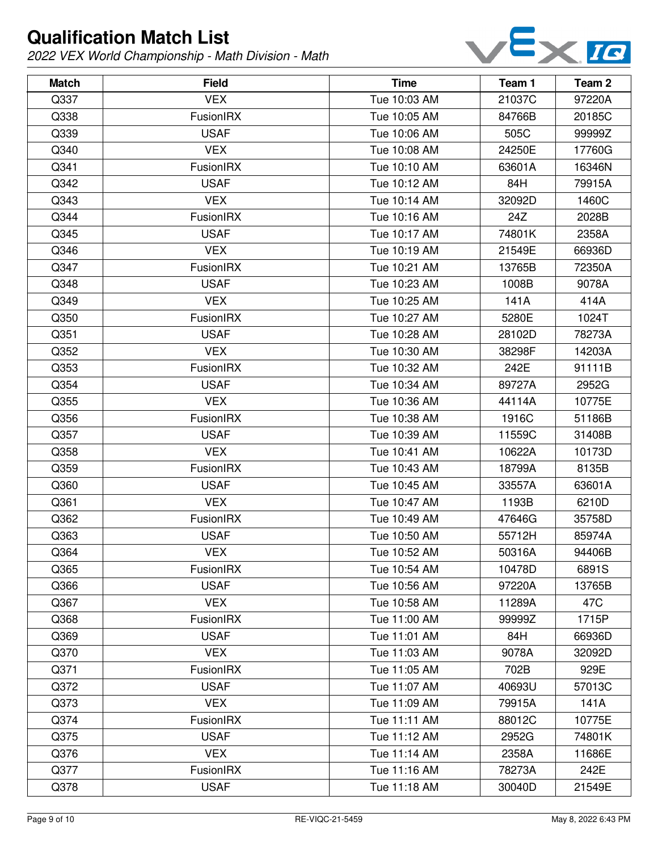

| <b>Match</b> | <b>Field</b>     | <b>Time</b>  | Team 1 | Team 2 |
|--------------|------------------|--------------|--------|--------|
| Q337         | <b>VEX</b>       | Tue 10:03 AM | 21037C | 97220A |
| Q338         | FusionIRX        | Tue 10:05 AM | 84766B | 20185C |
| Q339         | <b>USAF</b>      | Tue 10:06 AM | 505C   | 99999Z |
| Q340         | <b>VEX</b>       | Tue 10:08 AM | 24250E | 17760G |
| Q341         | FusionIRX        | Tue 10:10 AM | 63601A | 16346N |
| Q342         | <b>USAF</b>      | Tue 10:12 AM | 84H    | 79915A |
| Q343         | <b>VEX</b>       | Tue 10:14 AM | 32092D | 1460C  |
| Q344         | FusionIRX        | Tue 10:16 AM | 24Z    | 2028B  |
| Q345         | <b>USAF</b>      | Tue 10:17 AM | 74801K | 2358A  |
| Q346         | <b>VEX</b>       | Tue 10:19 AM | 21549E | 66936D |
| Q347         | <b>FusionIRX</b> | Tue 10:21 AM | 13765B | 72350A |
| Q348         | <b>USAF</b>      | Tue 10:23 AM | 1008B  | 9078A  |
| Q349         | <b>VEX</b>       | Tue 10:25 AM | 141A   | 414A   |
| Q350         | <b>FusionIRX</b> | Tue 10:27 AM | 5280E  | 1024T  |
| Q351         | <b>USAF</b>      | Tue 10:28 AM | 28102D | 78273A |
| Q352         | <b>VEX</b>       | Tue 10:30 AM | 38298F | 14203A |
| Q353         | FusionIRX        | Tue 10:32 AM | 242E   | 91111B |
| Q354         | <b>USAF</b>      | Tue 10:34 AM | 89727A | 2952G  |
| Q355         | <b>VEX</b>       | Tue 10:36 AM | 44114A | 10775E |
| Q356         | FusionIRX        | Tue 10:38 AM | 1916C  | 51186B |
| Q357         | <b>USAF</b>      | Tue 10:39 AM | 11559C | 31408B |
| Q358         | <b>VEX</b>       | Tue 10:41 AM | 10622A | 10173D |
| Q359         | FusionIRX        | Tue 10:43 AM | 18799A | 8135B  |
| Q360         | <b>USAF</b>      | Tue 10:45 AM | 33557A | 63601A |
| Q361         | <b>VEX</b>       | Tue 10:47 AM | 1193B  | 6210D  |
| Q362         | <b>FusionIRX</b> | Tue 10:49 AM | 47646G | 35758D |
| Q363         | <b>USAF</b>      | Tue 10:50 AM | 55712H | 85974A |
| Q364         | <b>VEX</b>       | Tue 10:52 AM | 50316A | 94406B |
| Q365         | <b>FusionIRX</b> | Tue 10:54 AM | 10478D | 6891S  |
| Q366         | <b>USAF</b>      | Tue 10:56 AM | 97220A | 13765B |
| Q367         | <b>VEX</b>       | Tue 10:58 AM | 11289A | 47C    |
| Q368         | FusionIRX        | Tue 11:00 AM | 99999Z | 1715P  |
| Q369         | <b>USAF</b>      | Tue 11:01 AM | 84H    | 66936D |
| Q370         | <b>VEX</b>       | Tue 11:03 AM | 9078A  | 32092D |
| Q371         | FusionIRX        | Tue 11:05 AM | 702B   | 929E   |
| Q372         | <b>USAF</b>      | Tue 11:07 AM | 40693U | 57013C |
| Q373         | <b>VEX</b>       | Tue 11:09 AM | 79915A | 141A   |
| Q374         | FusionIRX        | Tue 11:11 AM | 88012C | 10775E |
| Q375         | <b>USAF</b>      | Tue 11:12 AM | 2952G  | 74801K |
| Q376         | <b>VEX</b>       | Tue 11:14 AM | 2358A  | 11686E |
| Q377         | <b>FusionIRX</b> | Tue 11:16 AM | 78273A | 242E   |
| Q378         | <b>USAF</b>      | Tue 11:18 AM | 30040D | 21549E |